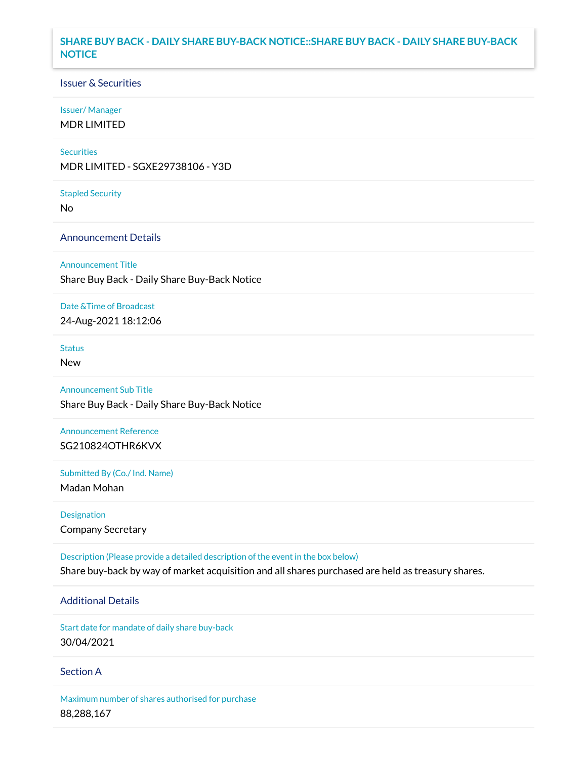### **SHARE BUY BACK - DAILY SHARE BUY-BACK NOTICE::SHARE BUY BACK - DAILY SHARE BUY-BACK NOTICE**

### Issuer & Securities

#### Issuer/ Manager

MDR LIMITED

#### **Securities**

MDR LIMITED - SGXE29738106 - Y3D

#### Stapled Security

No

### Announcement Details

Announcement Title

Share Buy Back - Daily Share Buy-Back Notice

#### Date &Time of Broadcast

24-Aug-2021 18:12:06

# **Status**

New

### Announcement Sub Title

Share Buy Back - Daily Share Buy-Back Notice

## Announcement Reference SG210824OTHR6KVX

Submitted By (Co./ Ind. Name)

Madan Mohan

Designation Company Secretary

Description (Please provide a detailed description of the event in the box below) Share buy-back by way of market acquisition and all shares purchased are held as treasury shares.

# Additional Details

Start date for mandate of daily share buy-back 30/04/2021

### Section A

Maximum number of shares authorised for purchase 88,288,167